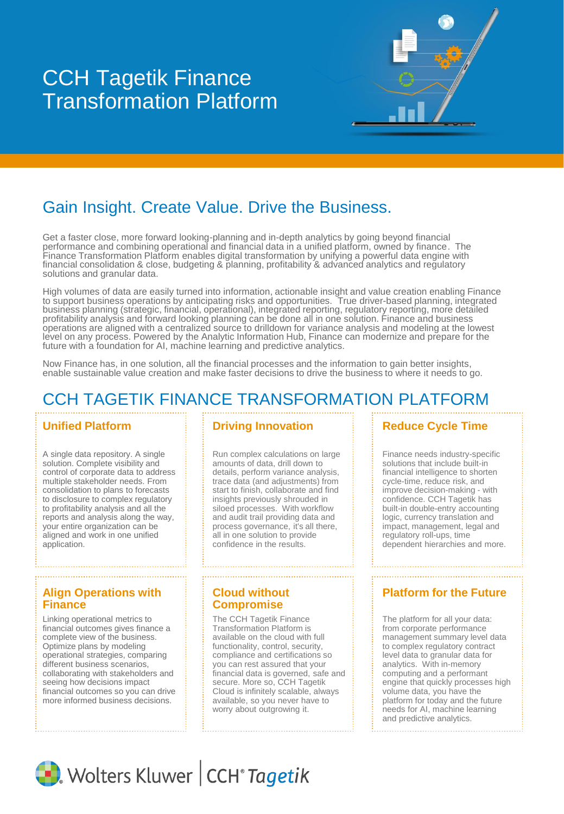# **CCH Tagetik** Transformation Platform CCH Tagetik Finance

## Gain Insight. Create Value. Drive the Business.

Get a faster close, more forward looking-planning and in-depth analytics by going beyond financial performance and combining operational and financial data in a unified platform, owned by finance. The Finance Transformation Platform enables digital transformation by unifying a powerful data engine with financial consolidation & close, budgeting & planning, profitability & advanced analytics and regulatory solutions and granular data.

High volumes of data are easily turned into information, actionable insight and value creation enabling Finance to support business operations by anticipating risks and opportunities. True driver-based planning, integrated business planning (strategic, financial, operational), integrated reporting, regulatory reporting, more detailed profitability analysis and forward looking planning can be done all in one solution. Finance and business operations are aligned with a centralized source to drilldown for variance analysis and modeling at the lowest level on any process. Powered by the Analytic Information Hub, Finance can modernize and prepare for the future with a foundation for AI, machine learning and predictive analytics.

Now Finance has, in one solution, all the financial processes and the information to gain better insights, enable sustainable value creation and make faster decisions to drive the business to where it needs to go.

## CCH TAGETIK FINANCE TRANSFORMATION PLATFORM

A single data repository. A single solution. Complete visibility and control of corporate data to address multiple stakeholder needs. From consolidation to plans to forecasts to disclosure to complex regulatory to profitability analysis and all the reports and analysis along the way, your entire organization can be aligned and work in one unified application.

#### **Align Operations with Finance**

Linking operational metrics to financial outcomes gives finance a complete view of the business. Optimize plans by modeling operational strategies, comparing different business scenarios, collaborating with stakeholders and seeing how decisions impact financial outcomes so you can drive more informed business decisions.

#### **Unified Platform Entity Priving Innovation**

Run complex calculations on large amounts of data, drill down to details, perform variance analysis, trace data (and adjustments) from start to finish, collaborate and find insights previously shrouded in siloed processes. With workflow and audit trail providing data and process governance, it's all there, all in one solution to provide confidence in the results.

#### **Cloud without Compromise**

The CCH Tagetik Finance Transformation Platform is available on the cloud with full functionality, control, security, compliance and certifications so you can rest assured that your financial data is governed, safe and secure. More so, CCH Tagetik Cloud is infinitely scalable, always available, so you never have to worry about outgrowing it.

#### **Reduce Cycle Time**

Finance needs industry-specific solutions that include built-in financial intelligence to shorten cycle-time, reduce risk, and improve decision-making - with confidence. CCH Tagetik has built-in double-entry accounting logic, currency translation and impact, management, legal and regulatory roll-ups, time dependent hierarchies and more.

#### **Platform for the Future**

The platform for all your data: from corporate performance management summary level data to complex regulatory contract level data to granular data for analytics. With in-memory computing and a performant engine that quickly processes high volume data, you have the platform for today and the future needs for AI, machine learning and predictive analytics.